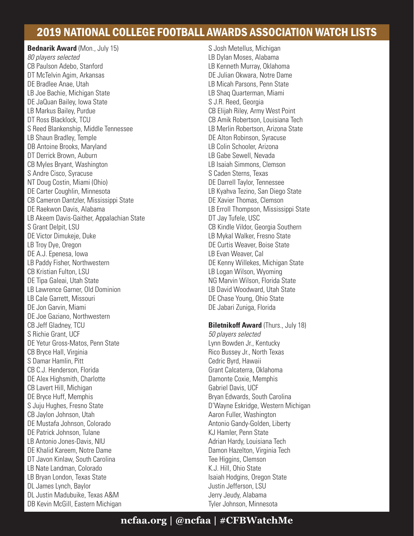**Bednarik Award** (Mon., July 15) *80 players selected* CB Paulson Adebo, Stanford DT McTelvin Agim, Arkansas DE Bradlee Anae, Utah LB Joe Bachie, Michigan State DE JaQuan Bailey, Iowa State LB Markus Bailey, Purdue DT Ross Blacklock, TCU S Reed Blankenship, Middle Tennessee LB Shaun Bradley, Temple DB Antoine Brooks, Maryland DT Derrick Brown, Auburn CB Myles Bryant, Washington S Andre Cisco, Syracuse NT Doug Costin, Miami (Ohio) DE Carter Coughlin, Minnesota CB Cameron Dantzler, Mississippi State DE Raekwon Davis, Alabama LB Akeem Davis-Gaither, Appalachian State S Grant Delpit, LSU DE Victor Dimukeje, Duke LB Troy Dye, Oregon DE A.J. Epenesa, Iowa LB Paddy Fisher, Northwestern CB Kristian Fulton, LSU DE Tipa Galeai, Utah State LB Lawrence Garner, Old Dominion LB Cale Garrett, Missouri DE Jon Garvin, Miami DE Joe Gaziano, Northwestern CB Jeff Gladney, TCU S Richie Grant, UCF DE Yetur Gross-Matos, Penn State CB Bryce Hall, Virginia S Damar Hamlin, Pitt CB C.J. Henderson, Florida DE Alex Highsmith, Charlotte CB Lavert Hill, Michigan DE Bryce Huff, Memphis S Juju Hughes, Fresno State CB Jaylon Johnson, Utah DE Mustafa Johnson, Colorado DE Patrick Johnson, Tulane LB Antonio Jones-Davis, NIU DE Khalid Kareem, Notre Dame DT Javon Kinlaw, South Carolina LB Nate Landman, Colorado LB Bryan London, Texas State DL James Lynch, Baylor DL Justin Madubuike, Texas A&M DB Kevin McGill, Eastern Michigan

S Josh Metellus, Michigan LB Dylan Moses, Alabama LB Kenneth Murray, Oklahoma DE Julian Okwara, Notre Dame LB Micah Parsons, Penn State LB Shaq Quarterman, Miami S J.R. Reed, Georgia CB Elijah Riley, Army West Point CB Amik Robertson, Louisiana Tech LB Merlin Robertson, Arizona State DE Alton Robinson, Syracuse LB Colin Schooler, Arizona LB Gabe Sewell, Nevada LB Isaiah Simmons, Clemson S Caden Sterns, Texas DE Darrell Taylor, Tennessee LB Kyahva Tezino, San Diego State DE Xavier Thomas, Clemson LB Erroll Thompson, Mississippi State DT Jay Tufele, USC CB Kindle Vildor, Georgia Southern LB Mykal Walker, Fresno State DE Curtis Weaver, Boise State LB Evan Weaver, Cal DE Kenny Willekes, Michigan State LB Logan Wilson, Wyoming NG Marvin Wilson, Florida State LB David Woodward, Utah State DE Chase Young, Ohio State DE Jabari Zuniga, Florida

**Biletnikoff Award** (Thurs., July 18) *50 players selected* Lynn Bowden Jr., Kentucky Rico Bussey Jr., North Texas Cedric Byrd, Hawaii Grant Calcaterra, Oklahoma Damonte Coxie, Memphis Gabriel Davis, UCF Bryan Edwards, South Carolina D'Wayne Eskridge, Western Michigan Aaron Fuller, Washington Antonio Gandy-Golden, Liberty KJ Hamler, Penn State Adrian Hardy, Louisiana Tech Damon Hazelton, Virginia Tech Tee Higgins, Clemson K.J. Hill, Ohio State Isaiah Hodgins, Oregon State Justin Jefferson, LSU Jerry Jeudy, Alabama Tyler Johnson, Minnesota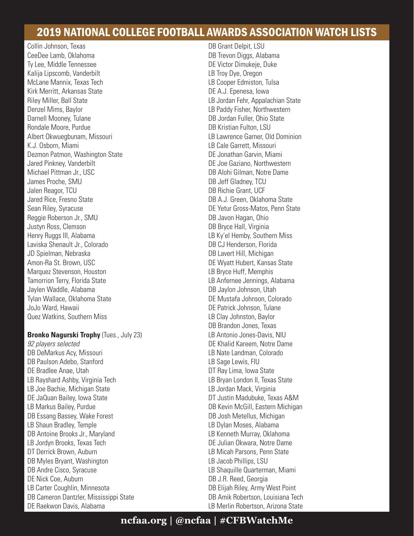Collin Johnson, Texas CeeDee Lamb, Oklahoma Ty Lee, Middle Tennessee Kalija Lipscomb, Vanderbilt McLane Mannix, Texas Tech Kirk Merritt, Arkansas State Riley Miller, Ball State Denzel Mims, Baylor Darnell Mooney, Tulane Rondale Moore, Purdue Albert Okwuegbunam, Missouri K.J. Osborn, Miami Dezmon Patmon, Washington State Jared Pinkney, Vanderbilt Michael Pittman Jr., USC James Proche, SMU Jalen Reagor, TCU Jared Rice, Fresno State Sean Riley, Syracuse Reggie Roberson Jr., SMU Justyn Ross, Clemson Henry Ruggs III, Alabama Laviska Shenault Jr., Colorado JD Spielman, Nebraska Amon-Ra St. Brown, USC Marquez Stevenson, Houston Tamorrion Terry, Florida State Jaylen Waddle, Alabama Tylan Wallace, Oklahoma State JoJo Ward, Hawaii Quez Watkins, Southern Miss

#### **Bronko Nagurski Trophy** (Tues., July 23)

*92 players selected* DB DeMarkus Acy, Missouri DB Paulson Adebo, Stanford DE Bradlee Anae, Utah LB Rayshard Ashby, Virginia Tech LB Joe Bachie, Michigan State DE JaQuan Bailey, Iowa State LB Markus Bailey, Purdue DB Essang Bassey, Wake Forest LB Shaun Bradley, Temple DB Antoine Brooks Jr., Maryland LB Jordyn Brooks, Texas Tech DT Derrick Brown, Auburn DB Myles Bryant, Washington DB Andre Cisco, Syracuse DE Nick Coe, Auburn LB Carter Coughlin, Minnesota DB Cameron Dantzler, Mississippi State DE Raekwon Davis, Alabama

DB Grant Delpit, LSU DB Trevon Diggs, Alabama DE Victor Dimukeje, Duke LB Troy Dye, Oregon LB Cooper Edmiston, Tulsa DE A.J. Epenesa, Iowa LB Jordan Fehr, Appalachian State LB Paddy Fisher, Northwestern DB Jordan Fuller, Ohio State DB Kristian Fulton, LSU LB Lawrence Garner, Old Dominion LB Cale Garrett, Missouri DE Jonathan Garvin, Miami DE Joe Gaziano, Northwestern DB Alohi Gilman, Notre Dame DB Jeff Gladney, TCU DB Richie Grant, UCF DB A.J. Green, Oklahoma State DE Yetur Gross-Matos, Penn State DB Javon Hagan, Ohio DB Bryce Hall, Virginia LB Ky'el Hemby, Southern Miss DB CJ Henderson, Florida DB Lavert Hill, Michigan DE Wyatt Hubert, Kansas State LB Bryce Huff, Memphis LB Anfernee Jennings, Alabama DB Jaylon Johnson, Utah DE Mustafa Johnson, Colorado DE Patrick Johnson, Tulane LB Clay Johnston, Baylor DB Brandon Jones, Texas LB Antonio Jones-Davis, NIU DE Khalid Kareem, Notre Dame LB Nate Landman, Colorado LB Sage Lewis, FIU DT Ray Lima, Iowa State LB Bryan London II, Texas State LB Jordan Mack, Virginia DT Justin Madubuke, Texas A&M DB Kevin McGill, Eastern Michigan DB Josh Metellus, Michigan LB Dylan Moses, Alabama LB Kenneth Murray, Oklahoma DE Julian Okwara, Notre Dame LB Micah Parsons, Penn State LB Jacob Phillips, LSU LB Shaquille Quarterman, Miami DB J.R. Reed, Georgia DB Elijah Riley, Army West Point DB Amik Robertson, Louisiana Tech LB Merlin Robertson, Arizona State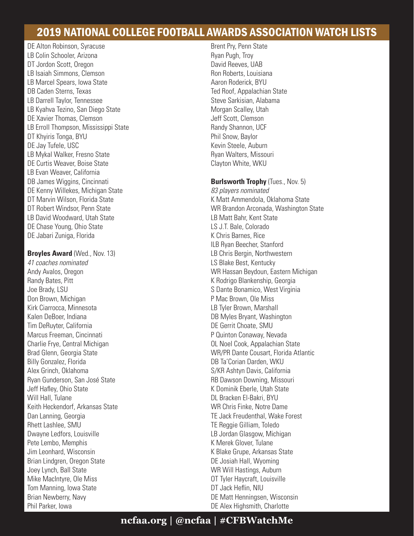DE Alton Robinson, Syracuse LB Colin Schooler, Arizona DT Jordon Scott, Oregon LB Isaiah Simmons, Clemson LB Marcel Spears, Iowa State DB Caden Sterns, Texas LB Darrell Taylor, Tennessee LB Kyahva Tezino, San Diego State DE Xavier Thomas, Clemson LB Erroll Thompson, Mississippi State DT Khyiris Tonga, BYU DE Jay Tufele, USC LB Mykal Walker, Fresno State DE Curtis Weaver, Boise State LB Evan Weaver, California DB James Wiggins, Cincinnati DE Kenny Willekes, Michigan State DT Marvin Wilson, Florida State DT Robert Windsor, Penn State LB David Woodward, Utah State DE Chase Young, Ohio State DE Jabari Zuniga, Florida

#### **Broyles Award** (Wed., Nov. 13)

*41 coaches nominated* Andy Avalos, Oregon Randy Bates, Pitt Joe Brady, LSU Don Brown, Michigan Kirk Ciarrocca, Minnesota Kalen DeBoer, Indiana Tim DeRuyter, California Marcus Freeman, Cincinnati Charlie Frye, Central Michigan Brad Glenn, Georgia State Billy Gonzalez, Florida Alex Grinch, Oklahoma Ryan Gunderson, San José State Jeff Hafley, Ohio State Will Hall, Tulane Keith Heckendorf, Arkansas State Dan Lanning, Georgia Rhett Lashlee, SMU Dwayne Ledfors, Louisville Pete Lembo, Memphis Jim Leonhard, Wisconsin Brian Lindgren, Oregon State Joey Lynch, Ball State Mike MacIntyre, Ole Miss Tom Manning, Iowa State Brian Newberry, Navy Phil Parker, Iowa

Brent Pry, Penn State Ryan Pugh, Troy David Reeves, UAB Ron Roberts, Louisiana Aaron Roderick, BYU Ted Roof, Appalachian State Steve Sarkisian, Alabama Morgan Scalley, Utah Jeff Scott, Clemson Randy Shannon, UCF Phil Snow, Baylor Kevin Steele, Auburn Ryan Walters, Missouri Clayton White, WKU

#### **Burlsworth Trophy** (Tues., Nov. 5)

*83 players nominated* K Matt Ammendola, Oklahoma State WR Brandon Arconada, Washington State LB Matt Bahr, Kent State LS J.T. Bale, Colorado K Chris Barnes, Rice ILB Ryan Beecher, Stanford LB Chris Bergin, Northwestern LS Blake Best, Kentucky WR Hassan Beydoun, Eastern Michigan K Rodrigo Blankenship, Georgia S Dante Bonamico, West Virginia P Mac Brown, Ole Miss LB Tyler Brown, Marshall DB Myles Bryant, Washington DE Gerrit Choate, SMU P Quinton Conaway, Nevada OL Noel Cook, Appalachian State WR/PR Dante Cousart, Florida Atlantic DB Ta'Corian Darden, WKU S/KR Ashtyn Davis, California RB Dawson Downing, Missouri K Dominik Eberle, Utah State DL Bracken El-Bakri, BYU WR Chris Finke, Notre Dame TE Jack Freudenthal, Wake Forest TE Reggie Gilliam, Toledo LB Jordan Glasgow, Michigan K Merek Glover, Tulane K Blake Grupe, Arkansas State DE Josiah Hall, Wyoming WR Will Hastings, Auburn OT Tyler Haycraft, Louisville DT Jack Heflin, NIU DE Matt Henningsen, Wisconsin DE Alex Highsmith, Charlotte

# **NCFAA.ORG ncfaa.org | @ncfaa | #CFBWatchMe**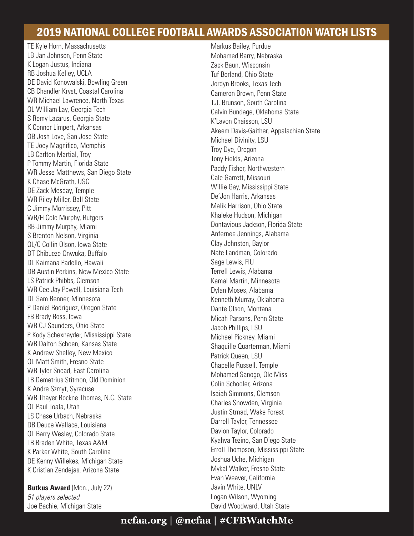TE Kyle Horn, Massachusetts LB Jan Johnson, Penn State K Logan Justus, Indiana RB Joshua Kelley, UCLA DE David Konowalski, Bowling Green CB Chandler Kryst, Coastal Carolina WR Michael Lawrence, North Texas OL William Lay, Georgia Tech S Remy Lazarus, Georgia State K Connor Limpert, Arkansas QB Josh Love, San Jose State TE Joey Magnifico, Memphis LB Carlton Martial, Troy P Tommy Martin, Florida State WR Jesse Matthews, San Diego State K Chase McGrath, USC DE Zack Mesday, Temple WR Riley Miller, Ball State C Jimmy Morrissey, Pitt WR/H Cole Murphy, Rutgers RB Jimmy Murphy, Miami S Brenton Nelson, Virginia OL/C Collin Olson, Iowa State DT Chibueze Onwuka, Buffalo DL Kaimana Padello, Hawaii DB Austin Perkins, New Mexico State LS Patrick Phibbs, Clemson WR Cee Jay Powell, Louisiana Tech DL Sam Renner, Minnesota P Daniel Rodriguez, Oregon State FB Brady Ross, Iowa WR CJ Saunders, Ohio State P Kody Schexnayder, Mississippi State WR Dalton Schoen, Kansas State K Andrew Shelley, New Mexico OL Matt Smith, Fresno State WR Tyler Snead, East Carolina LB Demetrius Stitmon, Old Dominion K Andre Szmyt, Syracuse WR Thayer Rockne Thomas, N.C. State OL Paul Toala, Utah LS Chase Urbach, Nebraska DB Deuce Wallace, Louisiana OL Barry Wesley, Colorado State LB Braden White, Texas A&M K Parker White, South Carolina DE Kenny Willekes, Michigan State K Cristian Zendejas, Arizona State

**Butkus Award** (Mon., July 22) *51 players selected* Joe Bachie, Michigan State

Markus Bailey, Purdue Mohamed Barry, Nebraska Zack Baun, Wisconsin Tuf Borland, Ohio State Jordyn Brooks, Texas Tech Cameron Brown, Penn State T.J. Brunson, South Carolina Calvin Bundage, Oklahoma State K'Lavon Chaisson, LSU Akeem Davis-Gaither, Appalachian State Michael Divinity, LSU Troy Dye, Oregon Tony Fields, Arizona Paddy Fisher, Northwestern Cale Garrett, Missouri Willie Gay, Mississippi State De'Jon Harris, Arkansas Malik Harrison, Ohio State Khaleke Hudson, Michigan Dontavious Jackson, Florida State Anfernee Jennings, Alabama Clay Johnston, Baylor Nate Landman, Colorado Sage Lewis, FIU Terrell Lewis, Alabama Kamal Martin, Minnesota Dylan Moses, Alabama Kenneth Murray, Oklahoma Dante Olson, Montana Micah Parsons, Penn State Jacob Phillips, LSU Michael Pickney, Miami Shaquille Quarterman, Miami Patrick Queen, LSU Chapelle Russell, Temple Mohamed Sanogo, Ole Miss Colin Schooler, Arizona Isaiah Simmons, Clemson Charles Snowden, Virginia Justin Strnad, Wake Forest Darrell Taylor, Tennessee Davion Taylor, Colorado Kyahva Tezino, San Diego State Erroll Thompson, Mississippi State Joshua Uche, Michigan Mykal Walker, Fresno State Evan Weaver, California Javin White, UNLV Logan Wilson, Wyoming David Woodward, Utah State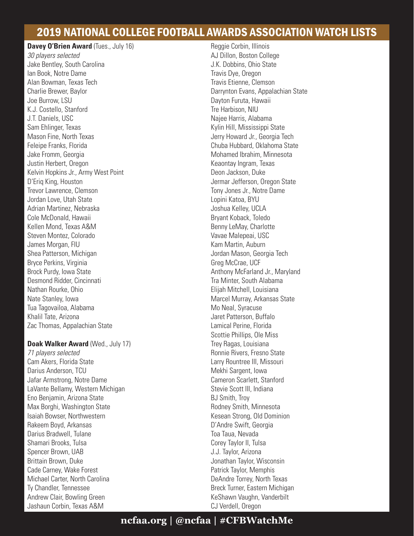**Davey O'Brien Award** (Tues., July 16)

*30 players selected* Jake Bentley, South Carolina Ian Book, Notre Dame Alan Bowman, Texas Tech Charlie Brewer, Baylor Joe Burrow, LSU K.J. Costello, Stanford J.T. Daniels, USC Sam Ehlinger, Texas Mason Fine, North Texas Feleipe Franks, Florida Jake Fromm, Georgia Justin Herbert, Oregon Kelvin Hopkins Jr., Army West Point D'Eriq King, Houston Trevor Lawrence, Clemson Jordan Love, Utah State Adrian Martinez, Nebraska Cole McDonald, Hawaii Kellen Mond, Texas A&M Steven Montez, Colorado James Morgan, FIU Shea Patterson, Michigan Bryce Perkins, Virginia Brock Purdy, Iowa State Desmond Ridder, Cincinnati Nathan Rourke, Ohio Nate Stanley, Iowa Tua Tagovailoa, Alabama Khalil Tate, Arizona Zac Thomas, Appalachian State

#### **Doak Walker Award** (Wed., July 17)

*71 players selected* Cam Akers, Florida State Darius Anderson, TCU Jafar Armstrong, Notre Dame LaVante Bellamy, Western Michigan Eno Benjamin, Arizona State Max Borghi, Washington State Isaiah Bowser, Northwestern Rakeem Boyd, Arkansas Darius Bradwell, Tulane Shamari Brooks, Tulsa Spencer Brown, UAB Brittain Brown, Duke Cade Carney, Wake Forest Michael Carter, North Carolina Ty Chandler, Tennessee Andrew Clair, Bowling Green Jashaun Corbin, Texas A&M

Reggie Corbin, Illinois AJ Dillon, Boston College J.K. Dobbins, Ohio State Travis Dye, Oregon Travis Etienne, Clemson Darrynton Evans, Appalachian State Dayton Furuta, Hawaii Tre Harbison, NIU Najee Harris, Alabama Kylin Hill, Mississippi State Jerry Howard Jr., Georgia Tech Chuba Hubbard, Oklahoma State Mohamed Ibrahim, Minnesota Keaontay Ingram, Texas Deon Jackson, Duke Jermar Jefferson, Oregon State Tony Jones Jr., Notre Dame Lopini Katoa, BYU Joshua Kelley, UCLA Bryant Koback, Toledo Benny LeMay, Charlotte Vavae Malepeai, USC Kam Martin, Auburn Jordan Mason, Georgia Tech Greg McCrae, UCF Anthony McFarland Jr., Maryland Tra Minter, South Alabama Elijah Mitchell, Louisiana Marcel Murray, Arkansas State Mo Neal, Syracuse Jaret Patterson, Buffalo Lamical Perine, Florida Scottie Phillips, Ole Miss Trey Ragas, Louisiana Ronnie Rivers, Fresno State Larry Rountree III, Missouri Mekhi Sargent, Iowa Cameron Scarlett, Stanford Stevie Scott III, Indiana BJ Smith, Troy Rodney Smith, Minnesota Kesean Strong, Old Dominion D'Andre Swift, Georgia Toa Taua, Nevada Corey Taylor II, Tulsa J.J. Taylor, Arizona Jonathan Taylor, Wisconsin Patrick Taylor, Memphis DeAndre Torrey, North Texas Breck Turner, Eastern Michigan KeShawn Vaughn, Vanderbilt CJ Verdell, Oregon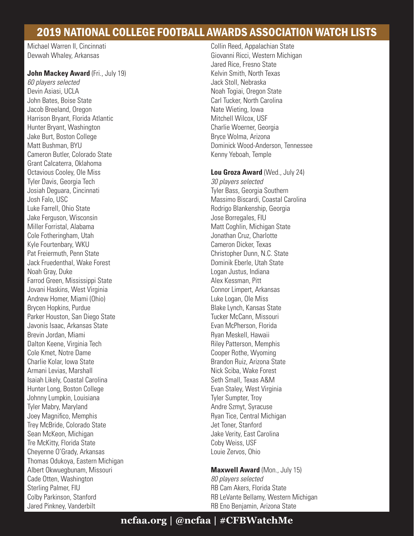Michael Warren II, Cincinnati Devwah Whaley, Arkansas

#### **John Mackey Award** (Fri., July 19)

*60 players selected* Devin Asiasi, UCLA John Bates, Boise State Jacob Breeland, Oregon Harrison Bryant, Florida Atlantic Hunter Bryant, Washington Jake Burt, Boston College Matt Bushman, BYU Cameron Butler, Colorado State Grant Calcaterra, Oklahoma Octavious Cooley, Ole Miss Tyler Davis, Georgia Tech Josiah Deguara, Cincinnati Josh Falo, USC Luke Farrell, Ohio State Jake Ferguson, Wisconsin Miller Forristal, Alabama Cole Fotheringham, Utah Kyle Fourtenbary, WKU Pat Freiermuth, Penn State Jack Fruedenthal, Wake Forest Noah Gray, Duke Farrod Green, Mississippi State Jovani Haskins, West Virginia Andrew Homer, Miami (Ohio) Brycen Hopkins, Purdue Parker Houston, San Diego State Javonis Isaac, Arkansas State Brevin Jordan, Miami Dalton Keene, Virginia Tech Cole Kmet, Notre Dame Charlie Kolar, Iowa State Armani Levias, Marshall Isaiah Likely, Coastal Carolina Hunter Long, Boston College Johnny Lumpkin, Louisiana Tyler Mabry, Maryland Joey Magnifico, Memphis Trey McBride, Colorado State Sean McKeon, Michigan Tre McKitty, Florida State Cheyenne O'Grady, Arkansas Thomas Odukoya, Eastern Michigan Albert Okwuegbunam, Missouri Cade Otten, Washington Sterling Palmer, FIU Colby Parkinson, Stanford Jared Pinkney, Vanderbilt

Collin Reed, Appalachian State Giovanni Ricci, Western Michigan Jared Rice, Fresno State Kelvin Smith, North Texas Jack Stoll, Nebraska Noah Togiai, Oregon State Carl Tucker, North Carolina Nate Wieting, Iowa Mitchell Wilcox, USF Charlie Woerner, Georgia Bryce Wolma, Arizona Dominick Wood-Anderson, Tennessee Kenny Yeboah, Temple

**Lou Groza Award** (Wed., July 24)

*30 players selected* Tyler Bass, Georgia Southern Massimo Biscardi, Coastal Carolina Rodrigo Blankenship, Georgia Jose Borregales, FIU Matt Coghlin, Michigan State Jonathan Cruz, Charlotte Cameron Dicker, Texas Christopher Dunn, N.C. State Dominik Eberle, Utah State Logan Justus, Indiana Alex Kessman, Pitt Connor Limpert, Arkansas Luke Logan, Ole Miss Blake Lynch, Kansas State Tucker McCann, Missouri Evan McPherson, Florida Ryan Meskell, Hawaii Riley Patterson, Memphis Cooper Rothe, Wyoming Brandon Ruiz, Arizona State Nick Sciba, Wake Forest Seth Small, Texas A&M Evan Staley, West Virginia Tyler Sumpter, Troy Andre Szmyt, Syracuse Ryan Tice, Central Michigan Jet Toner, Stanford Jake Verity, East Carolina Coby Weiss, USF Louie Zervos, Ohio

**Maxwell Award** (Mon., July 15) *80 players selected* RB Cam Akers, Florida State RB LeVante Bellamy, Western Michigan RB Eno Benjamin, Arizona State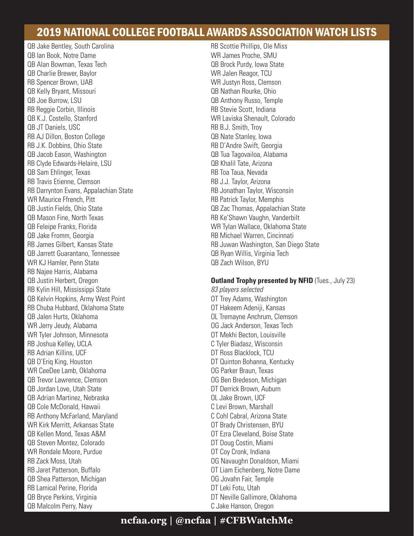QB Jake Bentley, South Carolina QB Ian Book, Notre Dame QB Alan Bowman, Texas Tech QB Charlie Brewer, Baylor RB Spencer Brown, UAB QB Kelly Bryant, Missouri QB Joe Burrow, LSU RB Reggie Corbin, Illinois QB K.J. Costello, Stanford QB JT Daniels, USC RB AJ Dillon, Boston College RB J.K. Dobbins, Ohio State QB Jacob Eason, Washington RB Clyde Edwards-Helaire, LSU QB Sam Ehlinger, Texas RB Travis Etienne, Clemson RB Darrynton Evans, Appalachian State WR Maurice Ffrench, Pitt QB Justin Fields, Ohio State QB Mason Fine, North Texas QB Feleipe Franks, Florida QB Jake Fromm, Georgia RB James Gilbert, Kansas State QB Jarrett Guarantano, Tennessee WR KJ Hamler, Penn State RB Najee Harris, Alabama QB Justin Herbert, Oregon RB Kylin Hill, Mississippi State QB Kelvin Hopkins, Army West Point RB Chuba Hubbard, Oklahoma State QB Jalen Hurts, Oklahoma WR Jerry Jeudy, Alabama WR Tyler Johnson, Minnesota RB Joshua Kelley, UCLA RB Adrian Killins, UCF QB D'Eriq King, Houston WR CeeDee Lamb, Oklahoma QB Trevor Lawrence, Clemson QB Jordan Love, Utah State QB Adrian Martinez, Nebraska QB Cole McDonald, Hawaii RB Anthony McFarland, Maryland WR Kirk Merritt, Arkansas State QB Kellen Mond, Texas A&M QB Steven Montez, Colorado WR Rondale Moore, Purdue RB Zack Moss, Utah RB Jaret Patterson, Buffalo QB Shea Patterson, Michigan RB Lamical Perine, Florida QB Bryce Perkins, Virginia QB Malcolm Perry, Navy

RB Scottie Phillips, Ole Miss WR James Proche, SMU QB Brock Purdy, Iowa State WR Jalen Reagor, TCU WR Justyn Ross, Clemson QB Nathan Rourke, Ohio QB Anthony Russo, Temple RB Stevie Scott, Indiana WR Laviska Shenault, Colorado RB B.J. Smith, Troy QB Nate Stanley, Iowa RB D'Andre Swift, Georgia QB Tua Tagovailoa, Alabama QB Khalil Tate, Arizona RB Toa Taua, Nevada RB J.J. Taylor, Arizona RB Jonathan Taylor, Wisconsin RB Patrick Taylor, Memphis QB Zac Thomas, Appalachian State RB Ke'Shawn Vaughn, Vanderbilt WR Tylan Wallace, Oklahoma State RB Michael Warren, Cincinnati RB Juwan Washington, San Diego State QB Ryan Willis, Virginia Tech QB Zach Wilson, BYU

#### **Outland Trophy presented by NFID (Tues., July 23)**

*83 players selected* OT Trey Adams, Washington OT Hakeem Adeniji, Kansas OL Tremayne Anchrum, Clemson OG Jack Anderson, Texas Tech OT Mekhi Becton, Louisville C Tyler Biadasz, Wisconsin DT Ross Blacklock, TCU DT Quinton Bohanna, Kentucky OG Parker Braun, Texas OG Ben Bredeson, Michigan DT Derrick Brown, Auburn OL Jake Brown, UCF C Levi Brown, Marshall C Cohl Cabral, Arizona State OT Brady Christensen, BYU OT Ezra Cleveland, Boise State DT Doug Costin, Miami OT Coy Cronk, Indiana OG Navaughn Donaldson, Miami OT Liam Eichenberg, Notre Dame OG Jovahn Fair, Temple DT Leki Fotu, Utah DT Neville Gallimore, Oklahoma C Jake Hanson, Oregon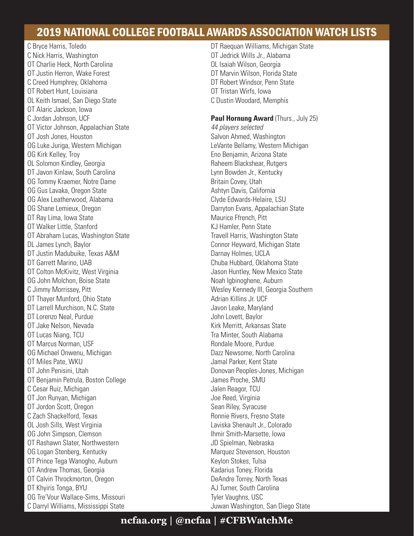C Bryce Harris, Toledo C Nick Harris, Washington OT Charlie Heck, North Carolina OT Justin Herron, Wake Forest C Creed Humphrey, Oklahoma OT Robert Hunt, Louisiana OL Keith Ismael, San Diego State OT Alaric Jackson, Iowa C Jordan Johnson, UCF OT Victor Johnson, Appalachian State OT Josh Jones, Houston OG Luke Juriga, Western Michigan OG Kirk Kelley, Troy OL Solomon Kindley, Georgia DT Javon Kinlaw, South Carolina OG Tommy Kraemer, Notre Dame OG Gus Lavaka, Oregon State OG Alex Leatherwood, Alabama OG Shane Lemieux, Oregon DT Ray Lima, Iowa State OT Walker Little, Stanford OT Abraham Lucas, Washington State DL James Lynch, Baylor DT Justin Madubuike, Texas A&M DT Garrett Marino, UAB OT Colton McKivitz, West Virginia OG John Molchon, Boise State C Jimmy Morrissey, Pitt OT Thayer Munford, Ohio State DT Larrell Murchison, N.C. State DT Lorenzo Neal, Purdue OT Jake Nelson, Nevada OT Lucas Niang, TCU OT Marcus Norman, USF OG Michael Onwenu, Michigan OT Miles Pate, WKU DT John Penisini, Utah OT Benjamin Petrula, Boston College C Cesar Ruiz, Michigan OT Jon Runyan, Michigan DT Jordon Scott, Oregon C Zach Shackelford, Texas OL Josh Sills, West Virginia OG John Simpson, Clemson OT Rashawn Slater, Northwestern OG Logan Stenberg, Kentucky OT Prince Tega Wanogho, Auburn OT Andrew Thomas, Georgia OT Calvin Throckmorton, Oregon DT Khyiris Tonga, BYU OG Tre'Vour Wallace-Sims, Missouri C Darryl Williams, Mississippi State

DT Raequan Williams, Michigan State OT Jedrick Wills Jr., Alabama OL Isaiah Wilson, Georgia DT Marvin Wilson, Florida State DT Robert Windsor, Penn State OT Tristan Wirfs, Iowa C Dustin Woodard, Memphis

#### **Paul Hornung Award** (Thurs., July 25) *44 players selected* Salvon Ahmed, Washington LeVante Bellamy, Western Michigan Eno Benjamin, Arizona State Raheem Blackshear, Rutgers Lynn Bowden Jr., Kentucky Britain Covey, Utah Ashtyn Davis, California Clyde Edwards-Helaire, LSU Darryton Evans, Appalachian State Maurice Ffrench, Pitt KJ Hamler, Penn State Travell Harris, Washington State Connor Heyward, Michigan State Darnay Holmes, UCLA Chuba Hubbard, Oklahoma State Jason Huntley, New Mexico State Noah Igbinoghene, Auburn Wesley Kennedy III, Georgia Southern Adrian Killins Jr. UCF Javon Leake, Maryland John Lovett, Baylor Kirk Merritt, Arkansas State Tra Minter, South Alabama Rondale Moore, Purdue Dazz Newsome, North Carolina Jamal Parker, Kent State Donovan Peoples-Jones, Michigan James Proche, SMU Jalen Reagor, TCU Joe Reed, Virginia Sean Riley, Syracuse Ronnie Rivers, Fresno State Laviska Shenault Jr., Colorado Ihmir Smith-Marsette, Iowa JD Spielman, Nebraska Marquez Stevenson, Houston Keylon Stokes, Tulsa Kadarius Toney, Florida DeAndre Torrey, North Texas AJ Turner, South Carolina Tyler Vaughns, USC Juwan Washington, San Diego State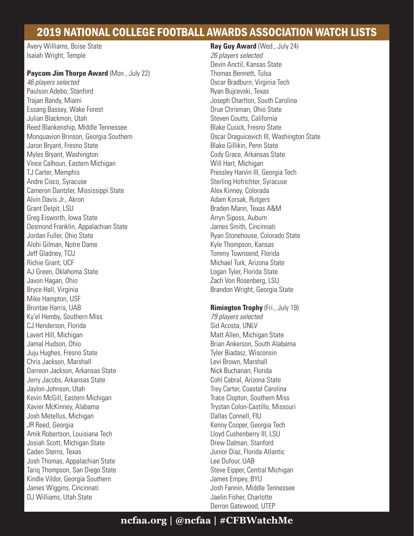Avery Williams, Boise State Isaiah Wright, Temple

#### **Paycom Jim Thorpe Award** (Mon., July 22)

*46 players selected* Paulson Adebo, Stanford Trajan Bandy, Miami Essang Bassey, Wake Forest Julian Blackmon, Utah Reed Blankenship, Middle Tennessee Monquavion Brinson, Georgia Southern Jaron Bryant, Fresno State Myles Bryant, Washington Vince Calhoun, Eastern Michigan TJ Carter, Memphis Andre Cisco, Syracuse Cameron Dantzler, Mississippi State Alvin Davis Jr., Akron Grant Delpit, LSU Greg Eisworth, Iowa State Desmond Franklin, Appalachian State Jordan Fuller, Ohio State Alohi Gilman, Notre Dame Jeff Gladney, TCU Richie Grant, UCF AJ Green, Oklahoma State Javon Hagan, Ohio Bryce Hall, Virginia Mike Hampton, USF Brontae Harris, UAB Ky'el Hemby, Southern Miss CJ Henderson, Florida Lavert Hill, Michigan Jamal Hudson, Ohio Juju Hughes, Fresno State Chris Jackson, Marshall Darreon Jackson, Arkansas State Jerry Jacobs, Arkansas State Jaylon Johnson, Utah Kevin McGill, Eastern Michigan Xavier McKinney, Alabama Josh Metellus, Michigan JR Reed, Georgia Amik Robertson, Louisiana Tech Josiah Scott, Michigan State Caden Sterns, Texas Josh Thomas, Appalachian State Tariq Thompson, San Diego State Kindle Vildor, Georgia Southern James Wiggins, Cincinnati DJ Williams, Utah State

**Ray Guy Award** (Wed., July 24) *26 players selected* Devin Anctil, Kansas State Thomas Bennett, Tulsa Oscar Bradburn, Virginia Tech Ryan Bujcevski, Texas Joseph Charlton, South Carolina Drue Chrisman, Ohio State Steven Coutts, California Blake Cusick, Fresno State Oscar Draguicevich III, Washington State Blake Gillikin, Penn State Cody Grace, Arkansas State Will Hart, Michigan Pressley Harvin III, Georgia Tech Sterling Hofrichter, Syracuse Alex Kinney, Colorada Adam Korsak, Rutgers Braden Mann, Texas A&M Arryn Siposs, Auburn James Smith, Cincinnati Ryan Stonehouse, Colorado State Kyle Thompson, Kansas Tommy Townsend, Florida Michael Turk, Arizona State Logan Tyler, Florida State Zach Von Rosenberg, LSU Brandon Wright, Georgia State

**Rimington Trophy** (Fri., July 19)

*79 players selected* Sid Acosta, UNLV Matt Allen, Michigan State Brian Ankerson, South Alabama Tyler Biadasz, Wisconsin Levi Brown, Marshall Nick Buchanan, Florida Cohl Cabral, Arizona State Trey Carter, Coastal Carolina Trace Clopton, Southern Miss Trystan Colon-Castillo, Missouri Dallas Connell, FIU Kenny Cooper, Georgia Tech Lloyd Cushenberry III, LSU Drew Dalman, Stanford Junior Diaz, Florida Atlantic Lee Dufour, UAB Steve Eipper, Central Michigan James Empey, BYU Josh Fannin, Middle Tennessee Jaelin Fisher, Charlotte Derron Gatewood, UTEP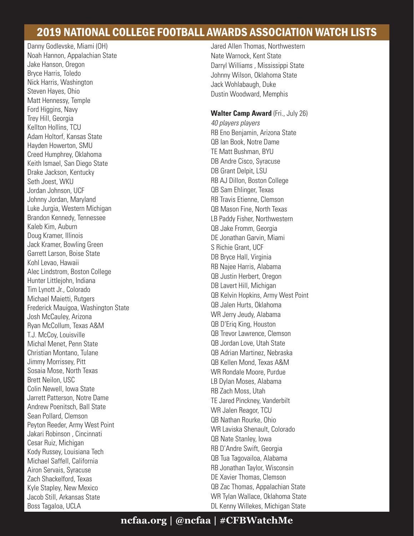Danny Godlevske, Miami (OH) Noah Hannon, Appalachian State Jake Hanson, Oregon Bryce Harris, Toledo Nick Harris, Washington Steven Hayes, Ohio Matt Hennessy, Temple Ford Higgins, Navy Trey Hill, Georgia Kellton Hollins, TCU Adam Holtorf, Kansas State Hayden Howerton, SMU Creed Humphrey, Oklahoma Keith Ismael, San Diego State Drake Jackson, Kentucky Seth Joest, WKU Jordan Johnson, UCF Johnny Jordan, Maryland Luke Jurgia, Western Michigan Brandon Kennedy, Tennessee Kaleb Kim, Auburn Doug Kramer, Illinois Jack Kramer, Bowling Green Garrett Larson, Boise State Kohl Levao, Hawaii Alec Lindstrom, Boston College Hunter Littlejohn, Indiana Tim Lynott Jr., Colorado Michael Maietti, Rutgers Frederick Mauigoa, Washington State Josh McCauley, Arizona Ryan McCollum, Texas A&M T.J. McCoy, Louisville Michal Menet, Penn State Christian Montano, Tulane Jimmy Morrissey, Pitt Sosaia Mose, North Texas Brett Neilon, USC Colin Newell, Iowa State Jarrett Patterson, Notre Dame Andrew Poenitsch, Ball State Sean Pollard, Clemson Peyton Reeder, Army West Point Jakari Robinson , Cincinnati Cesar Ruiz, Michigan Kody Russey, Louisiana Tech Michael Saffell, California Airon Servais, Syracuse Zach Shackelford, Texas Kyle Stapley, New Mexico Jacob Still, Arkansas State Boss Tagaloa, UCLA

Jared Allen Thomas, Northwestern Nate Warnock, Kent State Darryl Williams , Mississippi State Johnny Wilson, Oklahoma State Jack Wohlabaugh, Duke Dustin Woodward, Memphis

### **Walter Camp Award** (Fri., July 26) *40 players players* RB Eno Benjamin, Arizona State QB Ian Book, Notre Dame TE Matt Bushman, BYU DB Andre Cisco, Syracuse DB Grant Delpit, LSU RB AJ Dillon, Boston College QB Sam Ehlinger, Texas RB Travis Etienne, Clemson QB Mason Fine, North Texas LB Paddy Fisher, Northwestern QB Jake Fromm, Georgia DE Jonathan Garvin, Miami S Richie Grant, UCF DB Bryce Hall, Virginia RB Najee Harris, Alabama QB Justin Herbert, Oregon DB Lavert Hill, Michigan QB Kelvin Hopkins, Army West Point QB Jalen Hurts, Oklahoma WR Jerry Jeudy, Alabama QB D'Eriq King, Houston QB Trevor Lawrence, Clemson QB Jordan Love, Utah State QB Adrian Martinez, Nebraska QB Kellen Mond, Texas A&M WR Rondale Moore, Purdue LB Dylan Moses, Alabama RB Zach Moss, Utah TE Jared Pinckney, Vanderbilt WR Jalen Reagor, TCU QB Nathan Rourke, Ohio WR Laviska Shenault, Colorado QB Nate Stanley, Iowa RB D'Andre Swift, Georgia QB Tua Tagovailoa, Alabama RB Jonathan Taylor, Wisconsin DE Xavier Thomas, Clemson QB Zac Thomas, Appalachian State WR Tylan Wallace, Oklahoma State DL Kenny Willekes, Michigan State